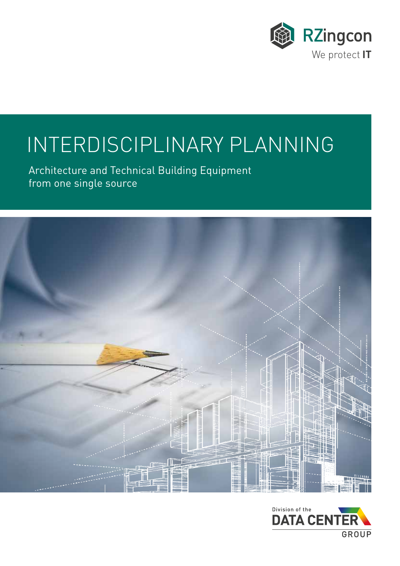

# INTERDISCIPLINARY PLANNING

Architecture and Technical Building Equipment from one single source



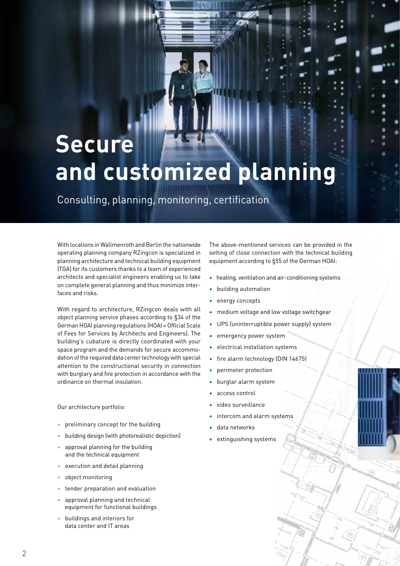## **Secure and customized planning**

Consulting, planning, monitoring, certification

With locations in Wallmenroth and Berlin the nationwide operating planning company RZingcon is specialized in planning architecture and technical building equipment (TGA) for its customers thanks to a team of experienced architects and specialist engineers enabling us to take on complete general planning and thus minimize interfaces and risks.

With regard to architecture, RZingcon deals with all object planning service phases according to §34 of the German HOAI planning regulations (HOAI = Official Scale of Fees for Services by Architects and Engineers). The building's cubature is directly coordinated with your space program and the demands for secure accommodation of the required data center technology with special attention to the constructional security in connection with burglary and fire protection in accordance with the ordinance on thermal insulation.

Our architecture portfolio:

- preliminary concept for the building
- building design (with photorealistic depiction)
- approval planning for the building and the technical equipment
- execution and detail planning
- object monitoring
- tender preparation and evaluation
- approval planning and technical equipment for functional buildings
- buildings and interiors for data center and IT areas

The above-mentioned services can be provided in the setting of close connection with the technical building equipment according to §55 of the German HOAI:

- heating, ventilation and air-conditioning systems
- building automation
- energy concepts
- medium voltage and low voltage switchgear
- UPS (uninterruptible power supply) system
- emergency power system
- electrical installation systems
- fire alarm technology (DIN 14675)
- perimeter protection
- burglar alarm system
- access control
- video surveillance
- intercom and alarm systems
- data networks
- extinguishing systems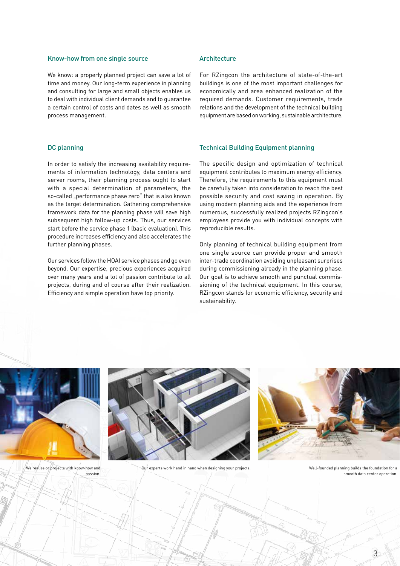#### Know-how from one single source

We know: a properly planned project can save a lot of time and money. Our long-term experience in planning and consulting for large and small objects enables us to deal with individual client demands and to guarantee a certain control of costs and dates as well as smooth process management.

#### DC planning

In order to satisfy the increasing availability requirements of information technology, data centers and server rooms, their planning process ought to start with a special determination of parameters, the so-called "performance phase zero" that is also known as the target determination. Gathering comprehensive framework data for the planning phase will save high subsequent high follow-up costs. Thus, our services start before the service phase 1 (basic evaluation). This procedure increases efficiency and also accelerates the further planning phases.

Our services follow the HOAI service phases and go even beyond. Our expertise, precious experiences acquired over many years and a lot of passion contribute to all projects, during and of course after their realization. Efficiency and simple operation have top priority.

#### Architecture

For RZingcon the architecture of state-of-the-art buildings is one of the most important challenges for economically and area enhanced realization of the required demands. Customer requirements, trade relations and the development of the technical building equipment are based on working, sustainable architecture.

#### Technical Building Equipment planning

The specific design and optimization of technical equipment contributes to maximum energy efficiency. Therefore, the requirements to this equipment must be carefully taken into consideration to reach the best possible security and cost saving in operation. By using modern planning aids and the experience from numerous, successfully realized projects RZingcon's employees provide you with individual concepts with reproducible results.

Only planning of technical building equipment from one single source can provide proper and smooth inter-trade coordination avoiding unpleasant surprises during commissioning already in the planning phase. Our goal is to achieve smooth and punctual commissioning of the technical equipment. In this course, RZingcon stands for economic efficiency, security and sustainability.



passion.



We realize or projects with know-how and **OUR EXPLO** Our experts work hand in hand when designing your projects.



Well-founded planning builds the foundation for a smooth data center operation.